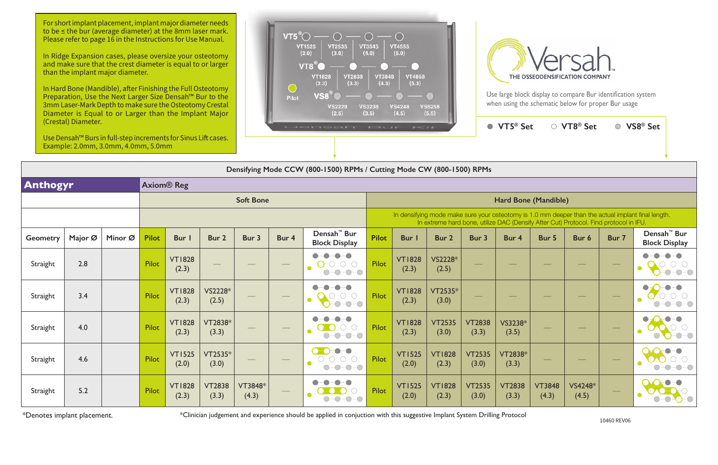## **Densifying Mode CCW (800-1500) RPMs / Cutting Mode CW (800-1500) RPMs**

For short implant placement, implant major diameter needs to be ≤ the bur (average diameter) at the 8mm laser mark. Please refer to page 16 in the Instructions for Use Manual.

| <b>Anthogyr</b> |         |         |              | <b>Axiom® Reg</b>      |                        |                    |                                 |                                                                                                                                    |                      |                                                                                                                                                                                             |                        |                        |                        |                                             |                   |                          |                                                 |  |
|-----------------|---------|---------|--------------|------------------------|------------------------|--------------------|---------------------------------|------------------------------------------------------------------------------------------------------------------------------------|----------------------|---------------------------------------------------------------------------------------------------------------------------------------------------------------------------------------------|------------------------|------------------------|------------------------|---------------------------------------------|-------------------|--------------------------|-------------------------------------------------|--|
|                 |         |         |              |                        |                        | <b>Soft Bone</b>   |                                 |                                                                                                                                    | Hard Bone (Mandible) |                                                                                                                                                                                             |                        |                        |                        |                                             |                   |                          |                                                 |  |
|                 |         |         |              |                        |                        |                    |                                 |                                                                                                                                    |                      | In densifying mode make sure your osteotomy is 1.0 mm deeper than the actual implant final length.<br>In extreme hard bone, utilize DAC (Densify After Cut) Protocol. Find protocol in IFU. |                        |                        |                        |                                             |                   |                          |                                                 |  |
| <b>Geometry</b> | Major Ø | Minor Ø | <b>Pilot</b> | <b>Bur</b>             | Bur 2                  | Bur 3              | Bur 4                           | Densah <sup>™</sup> Bur<br><b>Block Display</b>                                                                                    | <b>Pilot</b>         | <b>Bur</b> I                                                                                                                                                                                | Bur 2                  | Bur 3                  | Bur 4                  | Bur 5                                       | Bur 6             | Bur 7                    | Densah <sup>™</sup> Bur<br><b>Block Display</b> |  |
| Straight        | 2.8     |         | Pilot        | <b>VT1828</b><br>(2.3) |                        |                    | $\hspace{0.05cm}$               | $\bullet - \bullet$<br>$O$ -0-0-0<br>$-0-0-0$<br>$\bigcirc$                                                                        | Pilot                | <b>VT1828</b><br>(2.3)                                                                                                                                                                      | VS2228*<br>(2.5)       | $\frac{1}{2}$          | $\hspace{0.05cm}$      | $\sim$                                      |                   | $\overline{\phantom{a}}$ | $-0-0-0$                                        |  |
| Straight        | 3.4     |         | Pilot        | <b>VT1828</b><br>(2.3) | VS2228*<br>(2.5)       | $\hspace{0.1cm} -$ | $\hspace{0.1cm}-\hspace{0.1cm}$ | $\neg$ $\neg$ $\neg$<br>$-0-0-0$                                                                                                   | Pilot                | <b>VT1828</b><br>(2.3)                                                                                                                                                                      | VT2535*<br>(3.0)       | $\hspace{0.05cm}$      | $\hspace{0.05cm}$      | $\hspace{1.0cm} \overbrace{\hspace{1.0cm}}$ | $\hspace{0.05cm}$ | $\overline{\phantom{m}}$ |                                                 |  |
| Straight        | 4.0     |         | Pilot        | <b>VT1828</b><br>(2.3) | VT2838*<br>(3.3)       |                    | $\hspace{0.05cm}$               | $O-O$<br>- 0<br>$\mathcal{L}$<br>$-0-0-0$<br>$\bigcirc$                                                                            | Pilot                | <b>VT1828</b><br>(2.3)                                                                                                                                                                      | <b>VT2535</b><br>(3.0) | <b>VT2838</b><br>(3.3) | VS3238*<br>(3.5)       |                                             |                   |                          | $ \bigcirc$ $ \bigcirc$                         |  |
| Straight        | 4.6     |         | Pilot        | <b>VT1525</b><br>(2.0) | VT2535*<br>(3.0)       |                    | $\hspace{0.05cm}$               | $\bullet$ - $\bullet$<br>$-\bullet-\bullet$<br>$ \bigcirc$ $ \bigcirc$<br>$\bigcirc$ -<br>$-\bigcirc$<br>$-\bigcirc$<br>$\bigcirc$ | Pilot                | <b>VT1525</b><br>(2.0)                                                                                                                                                                      | <b>VT1828</b><br>(2.3) | <b>VT2535</b><br>(3.0) | VT2838*<br>(3.3)       | $\hspace{0.05cm}$                           | $\frac{1}{2}$     | $\overline{\phantom{m}}$ |                                                 |  |
| Straight        | 5.2     |         | Pilot        | <b>VT1828</b><br>(2.3) | <b>VT2838</b><br>(3.3) | VT3848*<br>(4.3)   | $\hspace{0.1cm}-\hspace{0.1cm}$ |                                                                                                                                    | Pilot                | <b>VT1525</b><br>(2.0)                                                                                                                                                                      | <b>VT1828</b><br>(2.3) | <b>VT2535</b><br>(3.0) | <b>VT2838</b><br>(3.3) | <b>VT3848</b><br>(4.3)                      | VS4248*<br>(4.5)  | $\hspace{0.05cm}$        |                                                 |  |

\*Denotes implant placement. 10460 REV06 \*Clinician judgement and experience should be applied in conjuction with this suggestive Implant System Drilling Protocol



| et | $\circ$ VT8® Set | ○ VS8 <sup>®</sup> Set |
|----|------------------|------------------------|
|    |                  |                        |

In Ridge Expansion cases, please oversize your osteotomy and make sure that the crest diameter is equal to or larger than the implant major diameter.

In Hard Bone (Mandible), after Finishing the Full Osteotomy Preparation, Use the Next Larger Size Densah™ Bur to the 3mm Laser-Mark Depth to make sure the Osteotomy Crestal Diameter is Equal to or Larger than the Implant Major (Crestal) Diameter.

Use Densah™ Burs in full-step increments for Sinus Lift cases. Example: 2.0mm, 3.0mm, 4.0mm, 5.0mm





Use large block display to compare Bur identification system when using the schematic below for proper Bur usage

**● VT5<sup>®</sup> Set**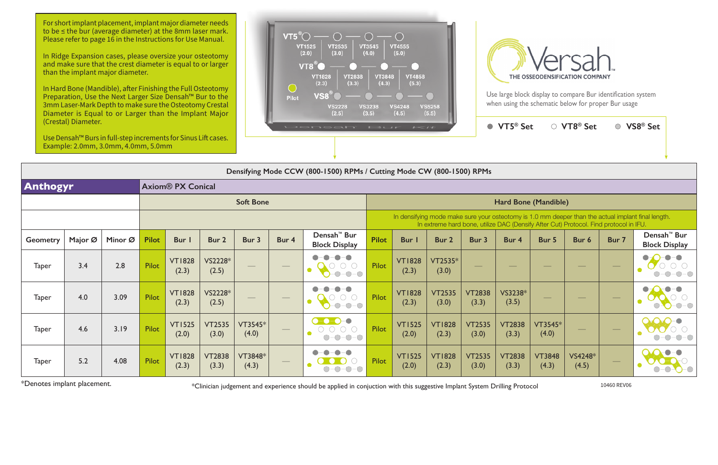## **Densifying Mode CCW (800-1500) RPMs / Cutting Mode CW (800-1500) RPMs**

| ∍t                                              | $\circlearrowright$ VT8® Set $\circ$ |       | ○ VS8 <sup>®</sup> Set                              |
|-------------------------------------------------|--------------------------------------|-------|-----------------------------------------------------|
|                                                 |                                      |       |                                                     |
|                                                 |                                      |       |                                                     |
| e (Mandible)                                    |                                      |       |                                                     |
| lify After Cut) Protocol. Find protocol in IFU. |                                      |       | 1.0 mm deeper than the actual implant final length. |
| Bur 5                                           | Bur 6                                | Bur 7 | Densah <sup>™</sup> Bur<br><b>Block Display</b>     |
|                                                 |                                      |       |                                                     |
|                                                 |                                      |       |                                                     |
| $VT3545*$<br>(4.0)                              |                                      |       |                                                     |

For short implant placement, implant major diameter needs to be ≤ the bur (average diameter) at the 8mm laser mark. Please refer to page 16 in the Instructions for Use Manual.

|                 | $D_{\text{C}}$ |         |              |                          |                        |                    |                          |                                                 |                      |                                                                                                                                                                                             |                        |                        |                        |                        |                  |                                |                                                 |  |
|-----------------|----------------|---------|--------------|--------------------------|------------------------|--------------------|--------------------------|-------------------------------------------------|----------------------|---------------------------------------------------------------------------------------------------------------------------------------------------------------------------------------------|------------------------|------------------------|------------------------|------------------------|------------------|--------------------------------|-------------------------------------------------|--|
| <b>Anthogyr</b> |                |         |              | <b>Axiom® PX Conical</b> |                        |                    |                          |                                                 |                      |                                                                                                                                                                                             |                        |                        |                        |                        |                  |                                |                                                 |  |
|                 |                |         |              |                          |                        | <b>Soft Bone</b>   |                          |                                                 | Hard Bone (Mandible) |                                                                                                                                                                                             |                        |                        |                        |                        |                  |                                |                                                 |  |
|                 |                |         |              |                          |                        |                    |                          |                                                 |                      | In densifying mode make sure your osteotomy is 1.0 mm deeper than the actual implant final length.<br>In extreme hard bone, utilize DAC (Densify After Cut) Protocol. Find protocol in IFU. |                        |                        |                        |                        |                  |                                |                                                 |  |
| Geometry        | Major Ø        | Minor Ø | <b>Pilot</b> | <b>Bur</b>               | Bur 2                  | Bur 3              | Bur 4                    | Densah <sup>™</sup> Bur<br><b>Block Display</b> | <b>Pilot</b>         | Bur I                                                                                                                                                                                       | Bur 2                  | Bur 3                  | Bur 4                  | Bur 5                  | Bur 6            | Bur 7                          | Densah <sup>™</sup> Bur<br><b>Block Display</b> |  |
| <b>Taper</b>    | 3.4            | 2.8     | <b>Pilot</b> | <b>VT1828</b><br>(2.3)   | VS2228*<br>(2.5)       | $\hspace{0.05cm}$  | $\hspace{0.05cm}$        | $-$ O $-$ O                                     | <b>Pilot</b>         | <b>VT1828</b><br>(2.3)                                                                                                                                                                      | VT2535*<br>(3.0)       |                        |                        |                        |                  | $\hspace{0.1cm}$               |                                                 |  |
| <b>Taper</b>    | 4.0            | 3.09    | Pilot        | <b>VT1828</b><br>(2.3)   | VS2228*<br>(2.5)       |                    | $\overline{\phantom{a}}$ | -0<br>$(\ )$ -<br>$-0-0-0$                      | <b>Pilot</b>         | <b>VT1828</b><br>(2.3)                                                                                                                                                                      | <b>VT2535</b><br>(3.0) | <b>VT2838</b><br>(3.3) | VS3238*<br>(3.5)       |                        |                  | $\overbrace{\hspace{25mm}}^{}$ | $-$ O $-$ (                                     |  |
| <b>Taper</b>    | 4.6            | 3.19    | Pilot        | <b>VT1525</b><br>(2.0)   | <b>VT2535</b><br>(3.0) | $VT3545*$<br>(4.0) | $\hspace{0.1cm} -$       | $-0 - 0 - 0$<br>$O-O-O-O$<br>$\bigcirc$         | <b>Pilot</b>         | <b>VT1525</b><br>(2.0)                                                                                                                                                                      | <b>VT1828</b><br>(2.3) | <b>VT2535</b><br>(3.0) | <b>VT2838</b><br>(3.3) | VT3545*<br>(4.0)       | $\frac{1}{2}$    | $\overbrace{\hspace{25mm}}^{}$ |                                                 |  |
| <b>Taper</b>    | 5.2            | 4.08    | Pilot        | <b>VT1828</b><br>(2.3)   | <b>VT2838</b><br>(3.3) | VT3848*<br>(4.3)   | $\hspace{0.05cm}$        |                                                 | <b>Pilot</b>         | <b>VT1525</b><br>(2.0)                                                                                                                                                                      | <b>VT1828</b><br>(2.3) | <b>VT2535</b><br>(3.0) | <b>VT2838</b><br>(3.3) | <b>VT3848</b><br>(4.3) | VS4248*<br>(4.5) | $\overbrace{\hspace{25mm}}^{}$ |                                                 |  |

\*Denotes implant placement. \*Clinician judgement and experience should be applied in conjuction with this suggestive Implant System Drilling Protocol 10460 REV06

In Ridge Expansion cases, please oversize your osteotomy and make sure that the crest diameter is equal to or larger than the implant major diameter.

In Hard Bone (Mandible), after Finishing the Full Osteotomy Preparation, Use the Next Larger Size Densah™ Bur to the 3mm Laser-Mark Depth to make sure the Osteotomy Crestal Diameter is Equal to or Larger than the Implant Major (Crestal) Diameter.

Use Densah™ Burs in full-step increments for Sinus Lift cases. Example: 2.0mm, 3.0mm, 4.0mm, 5.0mm





Use large block display to compare Bur identification system when using the schematic below for proper Bur usage

● VT5<sup>®</sup> Se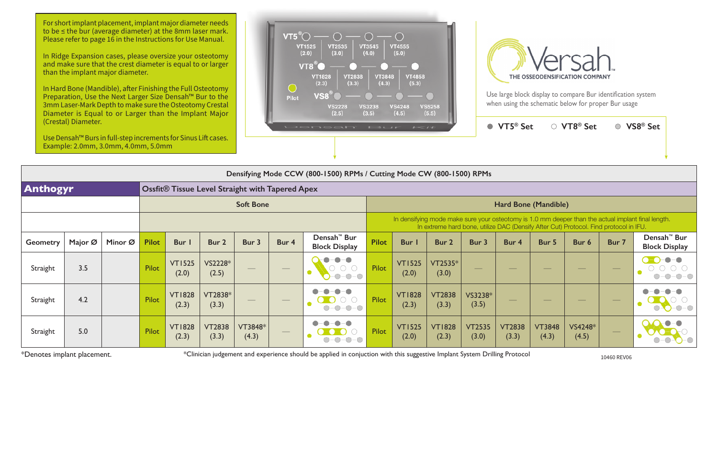| Anthogyr        |         |                                                                                                                |                        | <b>Ossfit® Tissue Level Straight with Tapered Apex</b> |                  |                  |                                                                                           |                        |                        |                        |                        |                        |  |  |  |  |  |
|-----------------|---------|----------------------------------------------------------------------------------------------------------------|------------------------|--------------------------------------------------------|------------------|------------------|-------------------------------------------------------------------------------------------|------------------------|------------------------|------------------------|------------------------|------------------------|--|--|--|--|--|
|                 |         |                                                                                                                |                        |                                                        |                  | <b>Soft Bone</b> | <b>Hard Bon</b>                                                                           |                        |                        |                        |                        |                        |  |  |  |  |  |
|                 |         |                                                                                                                |                        |                                                        |                  |                  | In densifying mode make sure your osteotomy is<br>In extreme hard bone, utilize DAC (Dens |                        |                        |                        |                        |                        |  |  |  |  |  |
| <b>Geometry</b> | Major Ø | Densah <sup>™</sup> Bur<br>Minor Ø<br><b>Pilot</b><br>Bur I<br>Bur 2<br>Bur 3<br>Bur 4<br><b>Block Display</b> |                        | <b>Pilot</b>                                           | Bur I            | Bur 2            | Bur 3                                                                                     | Bur 4                  |                        |                        |                        |                        |  |  |  |  |  |
| Straight        | 3.5     |                                                                                                                | Pilot                  | <b>VT1525</b><br>(2.0)                                 | VS2228*<br>(2.5) |                  |                                                                                           | $\bullet$              | Pilot                  | <b>VT1525</b><br>(2.0) | VT2535*<br>(3.0)       |                        |  |  |  |  |  |
| Straight        | 4.2     |                                                                                                                | Pilot                  | <b>VT1828</b><br>(2.3)                                 | VT2838*<br>(3.3) |                  |                                                                                           | $\bullet$<br>$O-O-O-O$ | Pilot                  | <b>VT1828</b><br>(2.3) | <b>VT2838</b><br>(3.3) | VS3238*<br>(3.5)       |  |  |  |  |  |
| 5.0<br>Straight |         | Pilot                                                                                                          | <b>VT1828</b><br>(2.3) | <b>VT2838</b><br>(3.3)                                 | VT3848*<br>(4.3) |                  |                                                                                           | Pilot                  | <b>VT1525</b><br>(2.0) | <b>VT1828</b><br>(2.3) | <b>VT2535</b><br>(3.0) | <b>VT2838</b><br>(3.3) |  |  |  |  |  |

\*Denotes implant placement. **\*** \*Clinician judgement and experience should be applied in conjuction with this suggestive Implant System Drilling Protocol 10460 REV06



Use large block display to compare Bur identification system when using the schematic below for proper Bur usage

For short implant placement, implant major diameter needs to be ≤ the bur (average diameter) at the 8mm laser mark. Please refer to page 16 in the Instructions for Use Manual.



In Ridge Expansion cases, please oversize your osteotomy and make sure that the crest diameter is equal to or larger than the implant major diameter.

In Hard Bone (Mandible), after Finishing the Full Osteotomy Preparation, Use the Next Larger Size Densah™ Bur to the 3mm Laser-Mark Depth to make sure the Osteotomy Crestal Diameter is Equal to or Larger than the Implant Major (Crestal) Diameter.

Use Densah™ Burs in full-step increments for Sinus Lift cases. Example: 2.0mm, 3.0mm, 4.0mm, 5.0mm

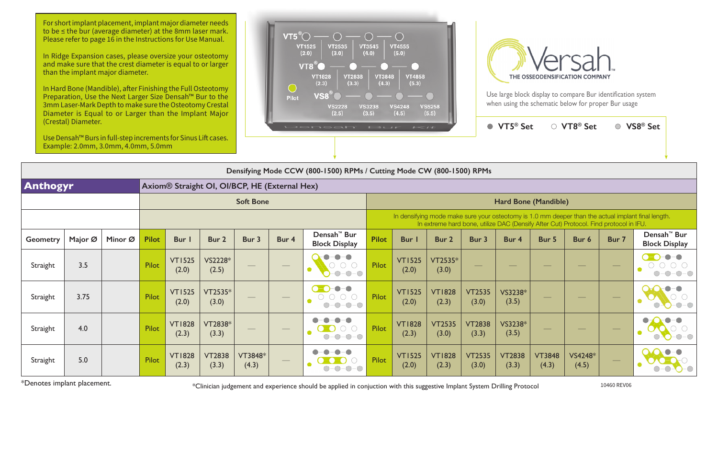| $1 - 11$                |                                                                                       |                        | VT5 <sup>®</sup> Set   |                        | ○ VT8 <sup>®</sup> Set |       | VS8 <sup>®</sup> Set                                                                               |  |  |  |  |  |
|-------------------------|---------------------------------------------------------------------------------------|------------------------|------------------------|------------------------|------------------------|-------|----------------------------------------------------------------------------------------------------|--|--|--|--|--|
|                         |                                                                                       |                        |                        |                        |                        |       |                                                                                                    |  |  |  |  |  |
| Mode CW (800-1500) RPMs |                                                                                       |                        |                        |                        |                        |       |                                                                                                    |  |  |  |  |  |
|                         |                                                                                       |                        |                        |                        |                        |       |                                                                                                    |  |  |  |  |  |
|                         |                                                                                       |                        | Hard Bone (Mandible)   |                        |                        |       |                                                                                                    |  |  |  |  |  |
|                         | In extreme hard bone, utilize DAC (Densify After Cut) Protocol. Find protocol in IFU. |                        |                        |                        |                        |       | In densifying mode make sure your osteotomy is 1.0 mm deeper than the actual implant final length. |  |  |  |  |  |
| Bur I                   | Bur <sub>2</sub>                                                                      | Bur 3                  | Bur 4                  | Bur 5                  | Bur <sub>6</sub>       | Bur 7 | Densah <sup>™</sup> Bur<br><b>Block Display</b>                                                    |  |  |  |  |  |
| <b>VT1525</b><br>(2.0)  | $VT2535*$<br>(3.0)                                                                    |                        |                        |                        |                        |       |                                                                                                    |  |  |  |  |  |
| <b>VT1525</b><br>(2.0)  | <b>VT1828</b><br>(2.3)                                                                | <b>VT2535</b><br>(3.0) | VS3238*<br>(3.5)       |                        |                        |       |                                                                                                    |  |  |  |  |  |
| <b>VT1828</b><br>(2.3)  | <b>VT2535</b><br>(3.0)                                                                | <b>VT2838</b><br>(3.3) | VS3238*<br>(3.5)       |                        |                        |       |                                                                                                    |  |  |  |  |  |
| <b>VT1525</b><br>(2.0)  | <b>VT1828</b><br>(2.3)                                                                | <b>VT2535</b><br>(3.0) | <b>VT2838</b><br>(3.3) | <b>VT3848</b><br>(4.3) | VS4248*<br>(4.5)       |       |                                                                                                    |  |  |  |  |  |

|                 | Densifying Mode CCW (800-1500) RPMs / Cutting Mode CW (800-1500) RPMs |         |              |                                                           |                        |                  |                                              |                                                                                                                                                                                                                                                                                                                                                                              |                                                                                                                                                                                             |                        |                        |                        |                        |                        |                  |       |                                                 |
|-----------------|-----------------------------------------------------------------------|---------|--------------|-----------------------------------------------------------|------------------------|------------------|----------------------------------------------|------------------------------------------------------------------------------------------------------------------------------------------------------------------------------------------------------------------------------------------------------------------------------------------------------------------------------------------------------------------------------|---------------------------------------------------------------------------------------------------------------------------------------------------------------------------------------------|------------------------|------------------------|------------------------|------------------------|------------------------|------------------|-------|-------------------------------------------------|
| Anthogyr        |                                                                       |         |              | Axiom <sup>®</sup> Straight OI, OI/BCP, HE (External Hex) |                        |                  |                                              |                                                                                                                                                                                                                                                                                                                                                                              |                                                                                                                                                                                             |                        |                        |                        |                        |                        |                  |       |                                                 |
|                 |                                                                       |         |              |                                                           |                        | <b>Soft Bone</b> |                                              |                                                                                                                                                                                                                                                                                                                                                                              | Hard Bone (Mandible)                                                                                                                                                                        |                        |                        |                        |                        |                        |                  |       |                                                 |
|                 |                                                                       |         |              |                                                           |                        |                  |                                              |                                                                                                                                                                                                                                                                                                                                                                              | In densifying mode make sure your osteotomy is 1.0 mm deeper than the actual implant final length.<br>In extreme hard bone, utilize DAC (Densify After Cut) Protocol. Find protocol in IFU. |                        |                        |                        |                        |                        |                  |       |                                                 |
| <b>Geometry</b> | Major Ø                                                               | Minor Ø | <b>Pilot</b> | <b>Bur</b>                                                | Bur 2                  | Bur 3            | Bur 4                                        | Densah <sup>™</sup> Bur<br><b>Block Display</b>                                                                                                                                                                                                                                                                                                                              | <b>Pilot</b>                                                                                                                                                                                | <b>Bur</b>             | Bur 2                  | Bur 3                  | Bur 4                  | Bur 5                  | Bur 6            | Bur 7 | Densah <sup>™</sup> Bur<br><b>Block Display</b> |
| Straight        | 3.5                                                                   |         | Pilot        | <b>VT1525</b><br>(2.0)                                    | VS2228*<br>(2.5)       |                  |                                              | $-$ O $-$ O<br>$-\bigcirc$<br>$-0-0-0$                                                                                                                                                                                                                                                                                                                                       | <b>Pilot</b>                                                                                                                                                                                | <b>VT1525</b><br>(2.0) | VT2535*<br>(3.0)       |                        |                        |                        |                  |       | $\bullet -$                                     |
| Straight        | 3.75                                                                  |         | Pilot        | <b>VT1525</b><br>(2.0)                                    | VT2535*<br>(3.0)       |                  |                                              | $\bullet$ - $\bullet$<br>$\begin{picture}(20,20) \put(0,0){\line(1,0){10}} \put(15,0){\line(1,0){10}} \put(15,0){\line(1,0){10}} \put(15,0){\line(1,0){10}} \put(15,0){\line(1,0){10}} \put(15,0){\line(1,0){10}} \put(15,0){\line(1,0){10}} \put(15,0){\line(1,0){10}} \put(15,0){\line(1,0){10}} \put(15,0){\line(1,0){10}} \put(15,0){\line(1,0){10}} \put(15,0){\line(1$ | <b>Pilot</b>                                                                                                                                                                                | <b>VT1525</b><br>(2.0) | <b>VT1828</b><br>(2.3) | <b>VT2535</b><br>(3.0) | VS3238*<br>(3.5)       |                        |                  |       |                                                 |
| Straight        | 4.0                                                                   |         | Pilot        | <b>VT1828</b><br>(2.3)                                    | VT2838*<br>(3.3)       |                  | $\overline{\phantom{a}}$                     |                                                                                                                                                                                                                                                                                                                                                                              | <b>Pilot</b>                                                                                                                                                                                | <b>VT1828</b><br>(2.3) | <b>VT2535</b><br>(3.0) | <b>VT2838</b><br>(3.3) | VS3238*<br>(3.5)       |                        |                  |       |                                                 |
| Straight        | 5.0                                                                   |         | Pilot        | <b>VT1828</b><br>(2.3)                                    | <b>VT2838</b><br>(3.3) | VT3848*<br>(4.3) | $\hspace{1.5cm} \overbrace{\hspace{1.5cm} }$ |                                                                                                                                                                                                                                                                                                                                                                              | <b>Pilot</b>                                                                                                                                                                                | <b>VT1525</b><br>(2.0) | <b>VT1828</b><br>(2.3) | <b>VT2535</b><br>(3.0) | <b>VT2838</b><br>(3.3) | <b>VT3848</b><br>(4.3) | VS4248*<br>(4.5) |       |                                                 |

For short implant placement, implant major diameter needs to be ≤ the bur (average diameter) at the 8mm laser mark. Please refer to page 16 in the Instructions for Use Manual.

\*Denotes implant placement. \*Clinician judgement and experience should be applied in conjuction with this suggestive Implant System Drilling Protocol 10460 REV06

In Ridge Expansion cases, please oversize your osteotomy and make sure that the crest diameter is equal to or larger than the implant major diameter.

In Hard Bone (Mandible), after Finishing the Full Osteotomy Preparation, Use the Next Larger Size Densah™ Bur to the 3mm Laser-Mark Depth to make sure the Osteotomy Crestal Diameter is Equal to or Larger than the Implant Major (Crestal) Diameter.

Use Densah™ Burs in full-step increments for Sinus Lift cases. Example: 2.0mm, 3.0mm, 4.0mm, 5.0mm





Use large block display to compare Bur identification system when using the schematic below for proper Bur usage